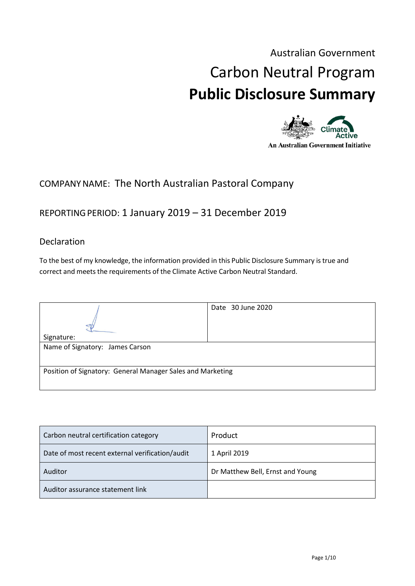# Australian Government Carbon Neutral Program **Public Disclosure Summary**



# COMPANYNAME: The North Australian Pastoral Company

# REPORTINGPERIOD: 1 January 2019 – 31 December 2019

## Declaration

To the best of my knowledge, the information provided in this Public Disclosure Summary is true and correct and meets the requirements of the Climate Active Carbon Neutral Standard.

|                                                            | Date 30 June 2020 |  |
|------------------------------------------------------------|-------------------|--|
|                                                            |                   |  |
| Signature:                                                 |                   |  |
| Name of Signatory: James Carson                            |                   |  |
| Position of Signatory: General Manager Sales and Marketing |                   |  |

| Carbon neutral certification category           | Product                          |
|-------------------------------------------------|----------------------------------|
| Date of most recent external verification/audit | 1 April 2019                     |
| Auditor                                         | Dr Matthew Bell, Ernst and Young |
| Auditor assurance statement link                |                                  |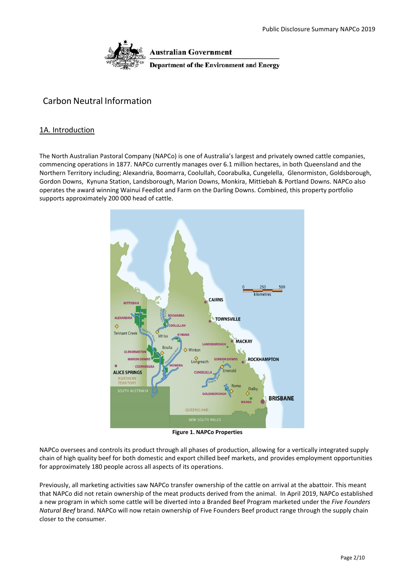

**Australian Government** 

**Department of the Environment and Energy** 

## Carbon Neutral Information

#### 1A. Introduction

The North Australian Pastoral Company (NAPCo) is one of Australia's largest and privately owned cattle companies, commencing operations in 1877. NAPCo currently manages over 6.1 million hectares, in both Queensland and the Northern Territory including; Alexandria, Boomarra, Coolullah, Coorabulka, Cungelella, Glenormiston, Goldsborough, Gordon Downs, Kynuna Station, Landsborough, Marion Downs, Monkira, Mittiebah & Portland Downs. NAPCo also operates the award winning Wainui Feedlot and Farm on the Darling Downs. Combined, this property portfolio supports approximately 200 000 head of cattle.



**Figure 1. NAPCo Properties**

NAPCo oversees and controls its product through all phases of production, allowing for a vertically integrated supply chain of high quality beef for both domestic and export chilled beef markets, and provides employment opportunities for approximately 180 people across all aspects of its operations.

Previously, all marketing activities saw NAPCo transfer ownership of the cattle on arrival at the abattoir. This meant that NAPCo did not retain ownership of the meat products derived from the animal. In April 2019, NAPCo established a new program in which some cattle will be diverted into a Branded Beef Program marketed under the *Five Founders Natural Beef* brand. NAPCo will now retain ownership of Five Founders Beef product range through the supply chain closer to the consumer.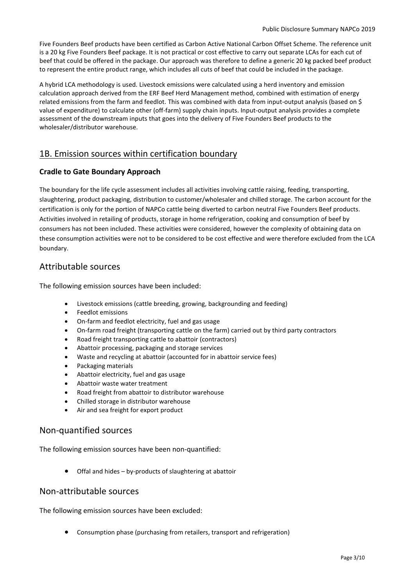Five Founders Beef products have been certified as Carbon Active National Carbon Offset Scheme. The reference unit is a 20 kg Five Founders Beef package. It is not practical or cost effective to carry out separate LCAs for each cut of beef that could be offered in the package. Our approach was therefore to define a generic 20 kg packed beef product to represent the entire product range, which includes all cuts of beef that could be included in the package.

A hybrid LCA methodology is used. Livestock emissions were calculated using a herd inventory and emission calculation approach derived from the ERF Beef Herd Management method, combined with estimation of energy related emissions from the farm and feedlot. This was combined with data from input-output analysis (based on \$ value of expenditure) to calculate other (off-farm) supply chain inputs. Input-output analysis provides a complete assessment of the downstream inputs that goes into the delivery of Five Founders Beef products to the wholesaler/distributor warehouse.

## 1B. Emission sources within certification boundary

### **Cradle to Gate Boundary Approach**

The boundary for the life cycle assessment includes all activities involving cattle raising, feeding, transporting, slaughtering, product packaging, distribution to customer/wholesaler and chilled storage. The carbon account for the certification is only for the portion of NAPCo cattle being diverted to carbon neutral Five Founders Beef products. Activities involved in retailing of products, storage in home refrigeration, cooking and consumption of beef by consumers has not been included. These activities were considered, however the complexity of obtaining data on these consumption activities were not to be considered to be cost effective and were therefore excluded from the LCA boundary.

## Attributable sources

The following emission sources have been included:

- Livestock emissions (cattle breeding, growing, backgrounding and feeding)
- Feedlot emissions
- On-farm and feedlot electricity, fuel and gas usage
- On-farm road freight (transporting cattle on the farm) carried out by third party contractors
- Road freight transporting cattle to abattoir (contractors)
- Abattoir processing, packaging and storage services
- Waste and recycling at abattoir (accounted for in abattoir service fees)
- Packaging materials
- Abattoir electricity, fuel and gas usage
- Abattoir waste water treatment
- Road freight from abattoir to distributor warehouse
- Chilled storage in distributor warehouse
- Air and sea freight for export product

## Non-quantified sources

The following emission sources have been non-quantified:

• Offal and hides – by-products of slaughtering at abattoir

## Non-attributable sources

The following emission sources have been excluded:

• Consumption phase (purchasing from retailers, transport and refrigeration)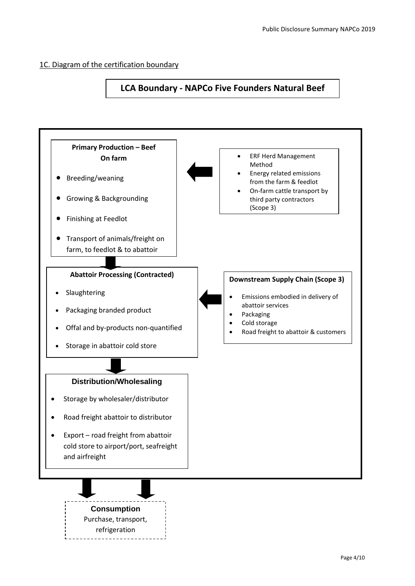### 1C. Diagram of the certification boundary

## **LCA Boundary - NAPCo Five Founders Natural Beef**

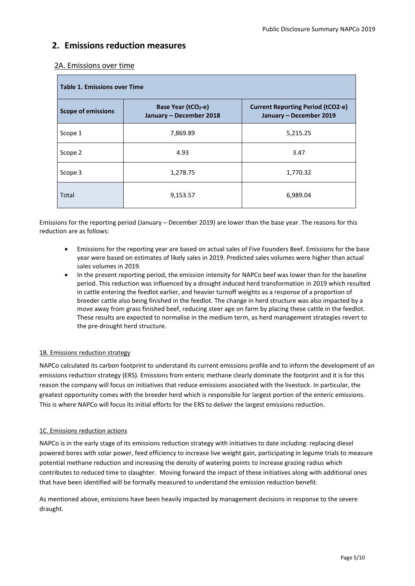## **2. Emissions reduction measures**

| <b>Table 1. Emissions over Time</b> |                                                           |                                                                     |  |
|-------------------------------------|-----------------------------------------------------------|---------------------------------------------------------------------|--|
| <b>Scope of emissions</b>           | Base Year (tCO <sub>2-e)</sub><br>January - December 2018 | <b>Current Reporting Period (tCO2-e)</b><br>January - December 2019 |  |
| Scope 1                             | 7,869.89                                                  | 5,215.25                                                            |  |
| Scope 2                             | 4.93                                                      | 3.47                                                                |  |
| Scope 3                             | 1,278.75                                                  | 1,770.32                                                            |  |
| Total                               | 9,153.57                                                  | 6,989.04                                                            |  |

#### 2A. Emissions over time

Emissions for the reporting period (January – December 2019) are lower than the base year. The reasons for this reduction are as follows:

- Emissions for the reporting year are based on actual sales of Five Founders Beef. Emissions for the base year were based on estimates of likely sales in 2019. Predicted sales volumes were higher than actual sales volumes in 2019.
- In the present reporting period, the emission intensity for NAPCo beef was lower than for the baseline period. This reduction was influenced by a drought induced herd transformation in 2019 which resulted in cattle entering the feedlot earlier, and heavier turnoff weights as a response of a proportion of breeder cattle also being finished in the feedlot. The change in herd structure was also impacted by a move away from grass finished beef, reducing steer age on farm by placing these cattle in the feedlot. These results are expected to normalise in the medium term, as herd management strategies revert to the pre-drought herd structure.

#### 1B. Emissions reduction strategy

NAPCo calculated its carbon footprint to understand its current emissions profile and to inform the development of an emissions reduction strategy (ERS). Emissions from enteric methane clearly dominate the footprint and it is for this reason the company will focus on initiatives that reduce emissions associated with the livestock. In particular, the greatest opportunity comes with the breeder herd which is responsible for largest portion of the enteric emissions. This is where NAPCo will focus its initial efforts for the ERS to deliver the largest emissions reduction.

#### 1C. Emissions reduction actions

NAPCo is in the early stage of its emissions reduction strategy with initiatives to date including: replacing diesel powered bores with solar power, feed efficiency to increase live weight gain, participating in legume trials to measure potential methane reduction and increasing the density of watering points to increase grazing radius which contributes to reduced time to slaughter. Moving forward the impact of these initiatives along with additional ones that have been identified will be formally measured to understand the emission reduction benefit.

As mentioned above, emissions have been heavily impacted by management decisions in response to the severe draught.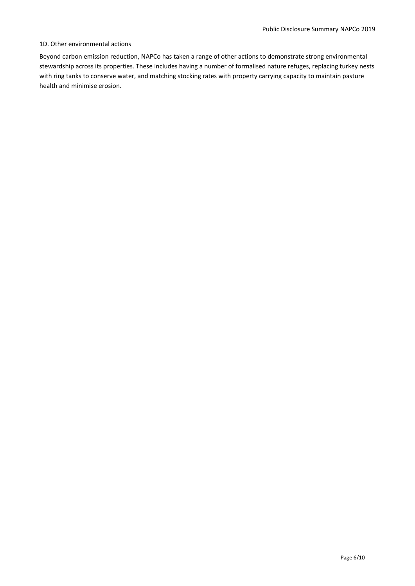#### 1D. Other environmental actions

Beyond carbon emission reduction, NAPCo has taken a range of other actions to demonstrate strong environmental stewardship across its properties. These includes having a number of formalised nature refuges, replacing turkey nests with ring tanks to conserve water, and matching stocking rates with property carrying capacity to maintain pasture health and minimise erosion.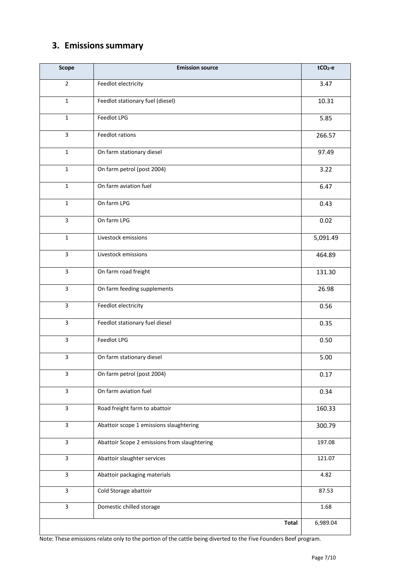# **3. Emissions summary**

| Scope                   | <b>Emission source</b>                       | $tCO2-e$ |
|-------------------------|----------------------------------------------|----------|
| $\overline{2}$          | Feedlot electricity                          | 3.47     |
| $\mathbf{1}$            | Feedlot stationary fuel (diesel)             | 10.31    |
| $\mathbf{1}$            | Feedlot LPG                                  | 5.85     |
| 3                       | Feedlot rations                              | 266.57   |
| $\mathbf 1$             | On farm stationary diesel                    | 97.49    |
| $\mathbf{1}$            | On farm petrol (post 2004)                   | 3.22     |
| $\mathbf 1$             | On farm aviation fuel                        | 6.47     |
| $\mathbf{1}$            | On farm LPG                                  | 0.43     |
| 3                       | On farm LPG                                  | 0.02     |
| $\mathbf{1}$            | Livestock emissions                          | 5,091.49 |
| $\overline{\mathbf{3}}$ | Livestock emissions                          | 464.89   |
| $\overline{\mathbf{3}}$ | On farm road freight                         | 131.30   |
| $\overline{3}$          | On farm feeding supplements                  | 26.98    |
| $\overline{\mathbf{3}}$ | Feedlot electricity                          | 0.56     |
| 3                       | Feedlot stationary fuel diesel               | 0.35     |
| 3                       | Feedlot LPG                                  | 0.50     |
| 3                       | On farm stationary diesel                    | 5.00     |
| 3                       | On farm petrol (post 2004)                   | 0.17     |
| 3                       | On farm aviation fuel                        | 0.34     |
| 3                       | Road freight farm to abattoir                | 160.33   |
| $\mathbf{3}$            | Abattoir scope 1 emissions slaughtering      | 300.79   |
| $\overline{\mathbf{3}}$ | Abattoir Scope 2 emissions from slaughtering | 197.08   |
| $\mathbf{3}$            | Abattoir slaughter services                  | 121.07   |
| 3                       | Abattoir packaging materials                 | 4.82     |
| 3                       | Cold Storage abattoir                        | 87.53    |
| 3                       | Domestic chilled storage                     | 1.68     |
|                         | <b>Total</b>                                 | 6,989.04 |

Note: These emissions relate only to the portion of the cattle being diverted to the Five Founders Beef program.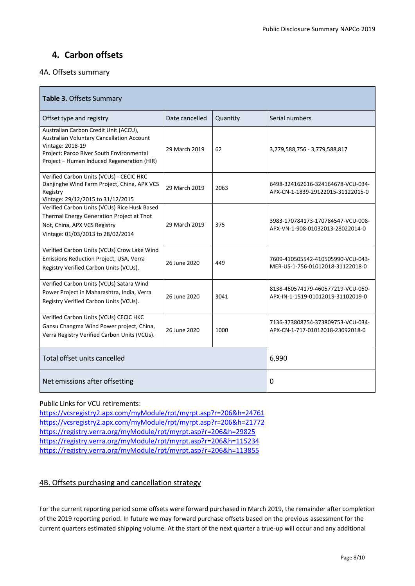## **4. Carbon offsets**

### 4A. Offsets summary

| Table 3. Offsets Summary                                                                                                                                                                                |                |          |                                                                        |  |  |
|---------------------------------------------------------------------------------------------------------------------------------------------------------------------------------------------------------|----------------|----------|------------------------------------------------------------------------|--|--|
| Offset type and registry                                                                                                                                                                                | Date cancelled | Quantity | Serial numbers                                                         |  |  |
| Australian Carbon Credit Unit (ACCU),<br><b>Australian Voluntary Cancellation Account</b><br>Vintage: 2018-19<br>Project: Paroo River South Environmental<br>Project - Human Induced Regeneration (HIR) | 29 March 2019  | 62       | 3,779,588,756 - 3,779,588,817                                          |  |  |
| Verified Carbon Units (VCUs) - CECIC HKC<br>Danjinghe Wind Farm Project, China, APX VCS<br>Registry<br>Vintage: 29/12/2015 to 31/12/2015                                                                | 29 March 2019  | 2063     | 6498-324162616-324164678-VCU-034-<br>APX-CN-1-1839-29122015-31122015-0 |  |  |
| Verified Carbon Units (VCUs) Rice Husk Based<br>Thermal Energy Generation Project at Thot<br>Not, China, APX VCS Registry<br>Vintage: 01/03/2013 to 28/02/2014                                          | 29 March 2019  | 375      | 3983-170784173-170784547-VCU-008-<br>APX-VN-1-908-01032013-28022014-0  |  |  |
| Verified Carbon Units (VCUs) Crow Lake Wind<br>Emissions Reduction Project, USA, Verra<br>Registry Verified Carbon Units (VCUs).                                                                        | 26 June 2020   | 449      | 7609-410505542-410505990-VCU-043-<br>MER-US-1-756-01012018-31122018-0  |  |  |
| Verified Carbon Units (VCUs) Satara Wind<br>Power Project in Maharashtra, India, Verra<br>Registry Verified Carbon Units (VCUs).                                                                        | 26 June 2020   | 3041     | 8138-460574179-460577219-VCU-050-<br>APX-IN-1-1519-01012019-31102019-0 |  |  |
| Verified Carbon Units (VCUs) CECIC HKC<br>Gansu Changma Wind Power project, China,<br>Verra Registry Verified Carbon Units (VCUs).                                                                      | 26 June 2020   | 1000     | 7136-373808754-373809753-VCU-034-<br>APX-CN-1-717-01012018-23092018-0  |  |  |
| Total offset units cancelled                                                                                                                                                                            |                |          | 6,990                                                                  |  |  |
| Net emissions after offsetting                                                                                                                                                                          |                | 0        |                                                                        |  |  |

#### Public Links for VCU retirements:

<https://vcsregistry2.apx.com/myModule/rpt/myrpt.asp?r=206&h=24761> <https://vcsregistry2.apx.com/myModule/rpt/myrpt.asp?r=206&h=21772> <https://registry.verra.org/myModule/rpt/myrpt.asp?r=206&h=29825> <https://registry.verra.org/myModule/rpt/myrpt.asp?r=206&h=115234> <https://registry.verra.org/myModule/rpt/myrpt.asp?r=206&h=113855>

## 4B. Offsets purchasing and cancellation strategy

For the current reporting period some offsets were forward purchased in March 2019, the remainder after completion of the 2019 reporting period. In future we may forward purchase offsets based on the previous assessment for the current quarters estimated shipping volume. At the start of the next quarter a true-up will occur and any additional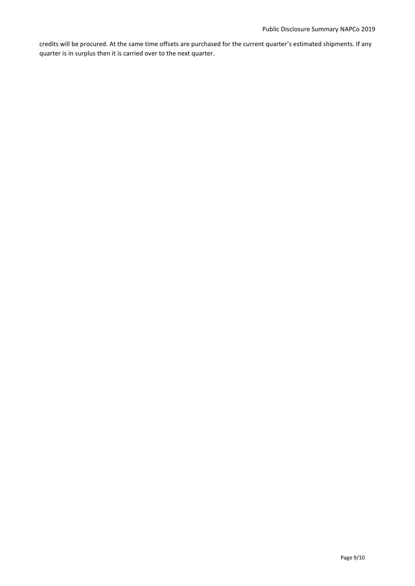credits will be procured. At the same time offsets are purchased for the current quarter's estimated shipments. If any quarter is in surplus then it is carried over to the next quarter.